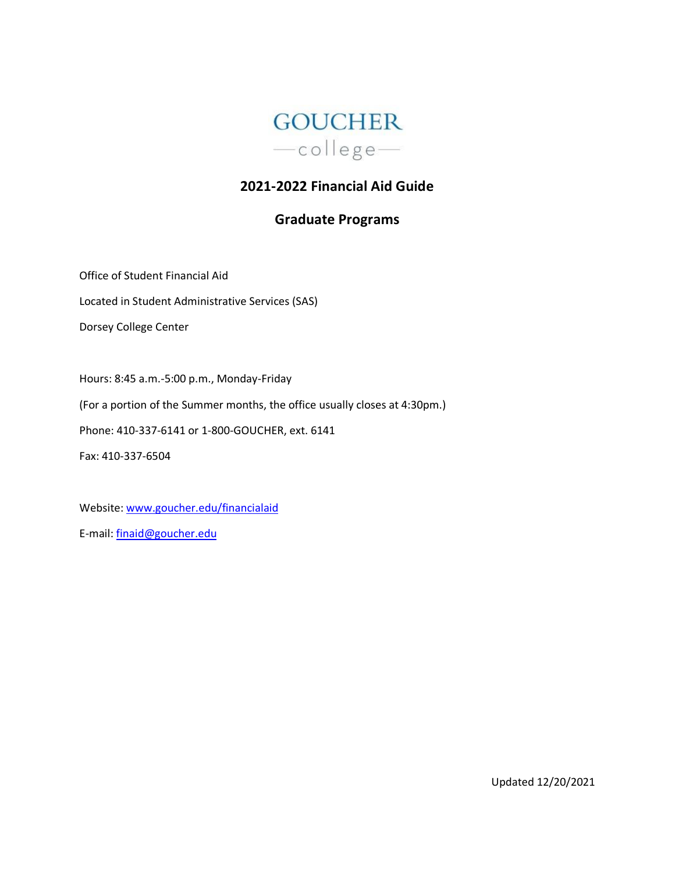

# **2021-2022 Financial Aid Guide**

# **Graduate Programs**

Office of Student Financial Aid

Located in Student Administrative Services (SAS)

Dorsey College Center

Hours: 8:45 a.m.-5:00 p.m., Monday-Friday

(For a portion of the Summer months, the office usually closes at 4:30pm.)

Phone: 410-337-6141 or 1-800-GOUCHER, ext. 6141

Fax: 410-337-6504

Website: [www.goucher.edu/financialaid](http://www.goucher.edu/financialaid)

E-mail: [finaid@goucher.edu](mailto:finaid@goucher.edu)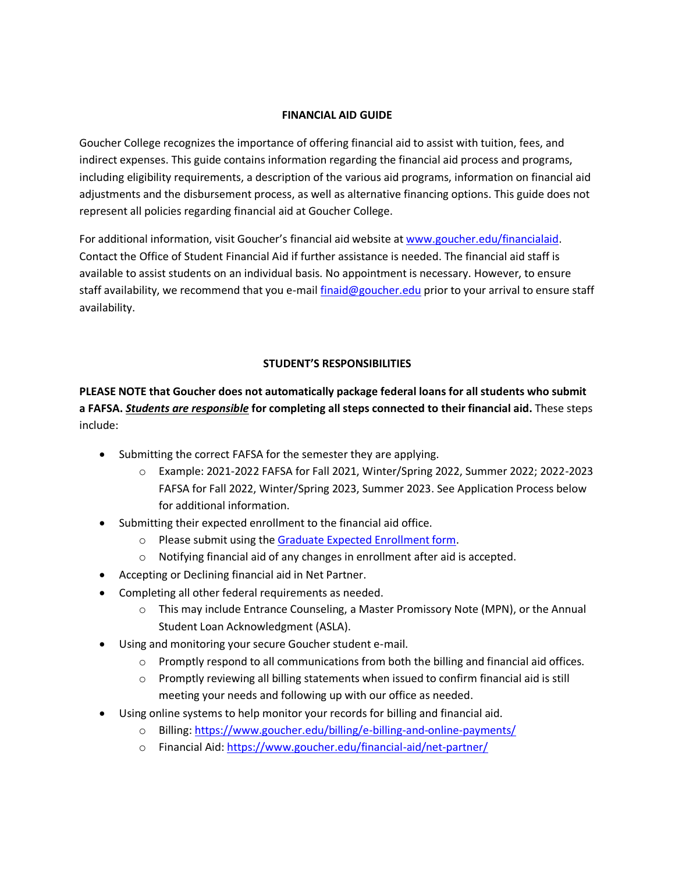#### **FINANCIAL AID GUIDE**

Goucher College recognizes the importance of offering financial aid to assist with tuition, fees, and indirect expenses. This guide contains information regarding the financial aid process and programs, including eligibility requirements, a description of the various aid programs, information on financial aid adjustments and the disbursement process, as well as alternative financing options. This guide does not represent all policies regarding financial aid at Goucher College.

For additional information, visit Goucher's financial aid website a[t www.goucher.edu/financialaid.](http://www.goucher.edu/financialaid) Contact the Office of Student Financial Aid if further assistance is needed. The financial aid staff is available to assist students on an individual basis. No appointment is necessary. However, to ensure staff availability, we recommend that you e-mai[l finaid@goucher.edu](mailto:finaid@goucher.edu) prior to your arrival to ensure staff availability.

#### **STUDENT'S RESPONSIBILITIES**

**PLEASE NOTE that Goucher does not automatically package federal loans for all students who submit a FAFSA.** *Students are responsible* **for completing all steps connected to their financial aid.** These steps include:

- Submitting the correct FAFSA for the semester they are applying.
	- o Example: 2021-2022 FAFSA for Fall 2021, Winter/Spring 2022, Summer 2022; 2022-2023 FAFSA for Fall 2022, Winter/Spring 2023, Summer 2023. See Application Process below for additional information.
- Submitting their expected enrollment to the financial aid office.
	- o Please submit using the [Graduate Expected Enrollment form.](https://www.goucher.edu/financial-aid/forms-and-resources/forms)
	- o Notifying financial aid of any changes in enrollment after aid is accepted.
- Accepting or Declining financial aid in Net Partner.
- Completing all other federal requirements as needed.
	- o This may include Entrance Counseling, a Master Promissory Note (MPN), or the Annual Student Loan Acknowledgment (ASLA).
- Using and monitoring your secure Goucher student e-mail.
	- $\circ$  Promptly respond to all communications from both the billing and financial aid offices.
	- o Promptly reviewing all billing statements when issued to confirm financial aid is still meeting your needs and following up with our office as needed.
- Using online systems to help monitor your records for billing and financial aid.
	- o Billing[: https://www.goucher.edu/billing/e-billing-and-online-payments/](https://www.goucher.edu/billing/e-billing-and-online-payments/)
	- o Financial Aid:<https://www.goucher.edu/financial-aid/net-partner/>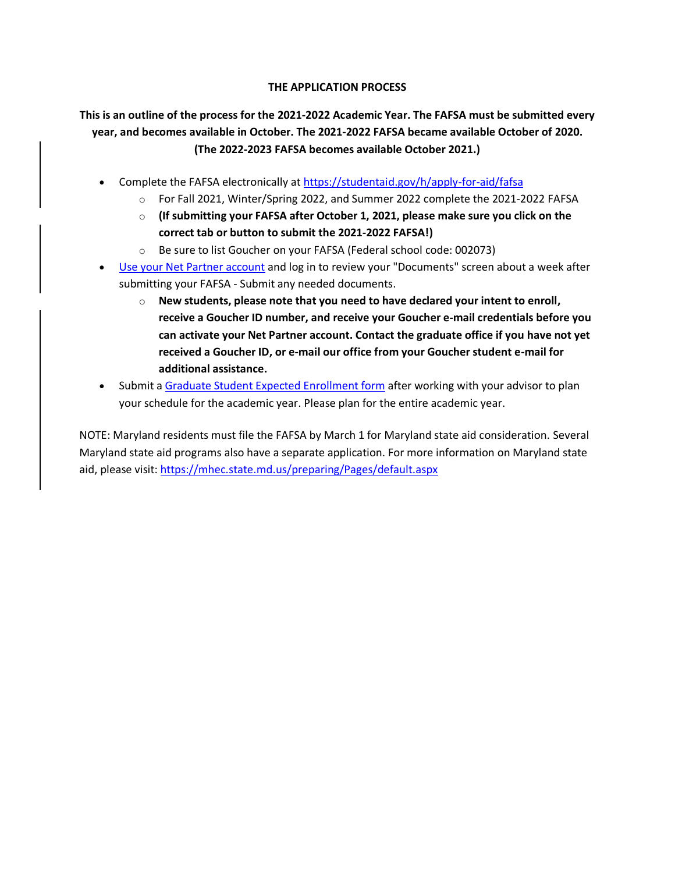# **THE APPLICATION PROCESS**

# **This is an outline of the process for the 2021-2022 Academic Year. The FAFSA must be submitted every year, and becomes available in October. The 2021-2022 FAFSA became available October of 2020. (The 2022-2023 FAFSA becomes available October 2021.)**

- Complete the FAFSA electronically at <https://studentaid.gov/h/apply-for-aid/fafsa>
	- o For Fall 2021, Winter/Spring 2022, and Summer 2022 complete the 2021-2022 FAFSA
	- o **(If submitting your FAFSA after October 1, 2021, please make sure you click on the correct tab or button to submit the 2021-2022 FAFSA!)**
	- o Be sure to list Goucher on your FAFSA (Federal school code: 002073)
- Use [your Net Partner](https://www.goucher.edu/financial-aid/net-partner/) account and log in to review your "Documents" screen about a week after submitting your FAFSA - Submit any needed documents.
	- o **New students, please note that you need to have declared your intent to enroll, receive a Goucher ID number, and receive your Goucher e-mail credentials before you can activate your Net Partner account. Contact the graduate office if you have not yet received a Goucher ID, or e-mail our office from your Goucher student e-mail for additional assistance.**
- Submit a [Graduate Student Expected Enrollment form](http://www.goucher.edu/financial-aid/forms-and-resources/forms) after working with your advisor to plan your schedule for the academic year. Please plan for the entire academic year.

NOTE: Maryland residents must file the FAFSA by March 1 for Maryland state aid consideration. Several Maryland state aid programs also have a separate application. For more information on Maryland state aid, please visit[: https://mhec.state.md.us/preparing/Pages/default.aspx](https://mhec.state.md.us/preparing/Pages/default.aspx)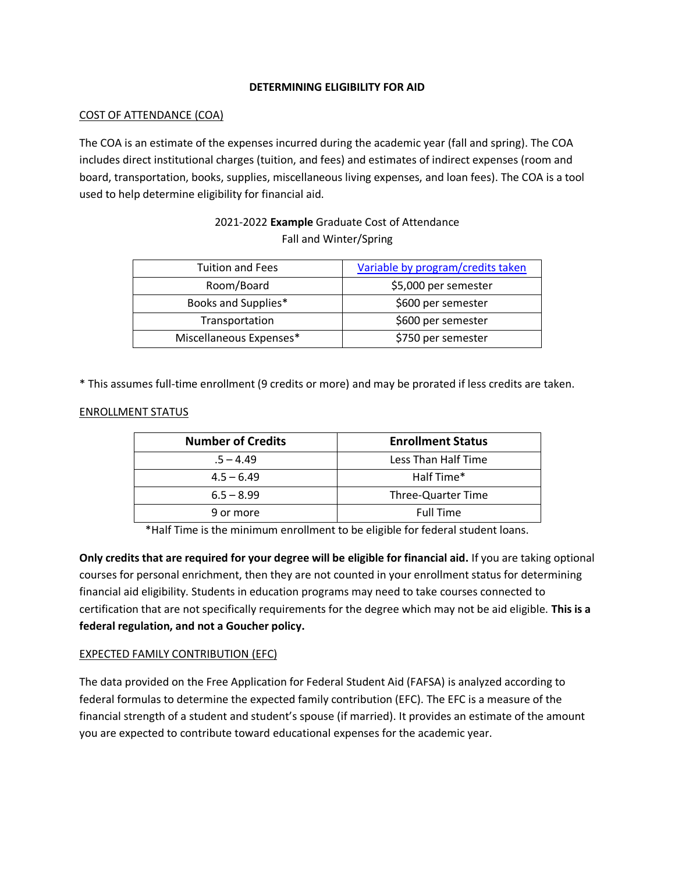# **DETERMINING ELIGIBILITY FOR AID**

#### COST OF ATTENDANCE (COA)

The COA is an estimate of the expenses incurred during the academic year (fall and spring). The COA includes direct institutional charges (tuition, and fees) and estimates of indirect expenses (room and board, transportation, books, supplies, miscellaneous living expenses, and loan fees). The COA is a tool used to help determine eligibility for financial aid.

# 2021-2022 **Example** Graduate Cost of Attendance Fall and Winter/Spring

| <b>Tuition and Fees</b> | Variable by program/credits taken |
|-------------------------|-----------------------------------|
| Room/Board              | \$5,000 per semester              |
| Books and Supplies*     | \$600 per semester                |
| Transportation          | \$600 per semester                |
| Miscellaneous Expenses* | \$750 per semester                |

\* This assumes full-time enrollment (9 credits or more) and may be prorated if less credits are taken.

# ENROLLMENT STATUS

| <b>Number of Credits</b> | <b>Enrollment Status</b> |
|--------------------------|--------------------------|
| $.5 - 4.49$              | Less Than Half Time      |
| $4.5 - 6.49$             | Half Time*               |
| $6.5 - 8.99$             | Three-Quarter Time       |
| 9 or more                | <b>Full Time</b>         |

\*Half Time is the minimum enrollment to be eligible for federal student loans.

**Only credits that are required for your degree will be eligible for financial aid.** If you are taking optional courses for personal enrichment, then they are not counted in your enrollment status for determining financial aid eligibility. Students in education programs may need to take courses connected to certification that are not specifically requirements for the degree which may not be aid eligible. **This is a federal regulation, and not a Goucher policy.**

#### EXPECTED FAMILY CONTRIBUTION (EFC)

The data provided on the Free Application for Federal Student Aid (FAFSA) is analyzed according to federal formulas to determine the expected family contribution (EFC). The EFC is a measure of the financial strength of a student and student's spouse (if married). It provides an estimate of the amount you are expected to contribute toward educational expenses for the academic year.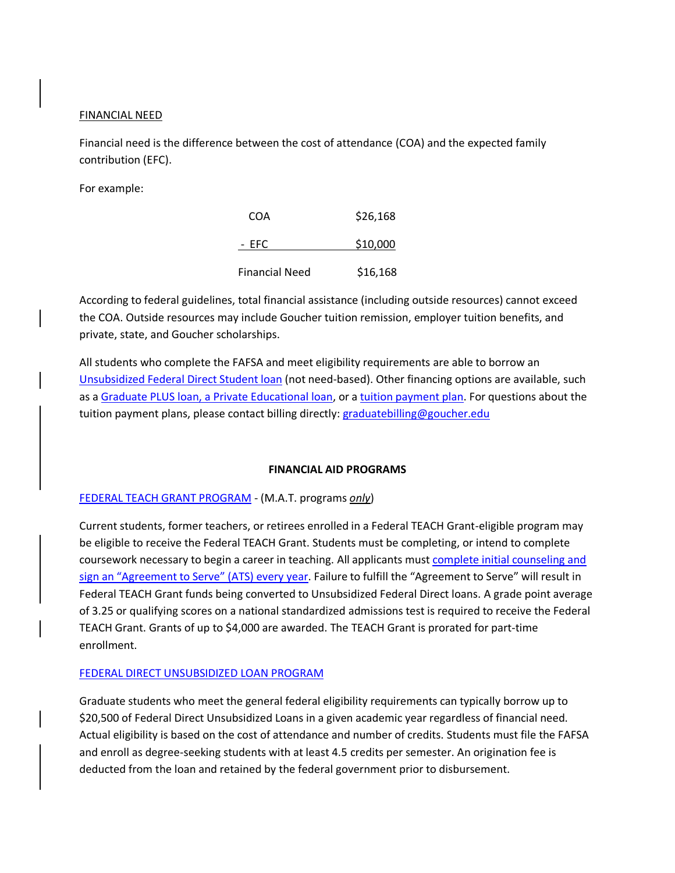#### FINANCIAL NEED

Financial need is the difference between the cost of attendance (COA) and the expected family contribution (EFC).

For example:

| COA                   | \$26,168 |
|-----------------------|----------|
| - FFC                 | \$10,000 |
| <b>Financial Need</b> | \$16,168 |

According to federal guidelines, total financial assistance (including outside resources) cannot exceed the COA. Outside resources may include Goucher tuition remission, employer tuition benefits, and private, state, and Goucher scholarships.

All students who complete the FAFSA and meet eligibility requirements are able to borrow an [Unsubsidized Federal Direct Student loan](https://studentaid.ed.gov/sa/types/loans) (not need-based). Other financing options are available, such as a Graduate PLUS [loan, a Private Educational loan,](https://www.goucher.edu/financial-aid/types-of-financial-aid/loans) or a [tuition payment plan.](https://www.goucher.edu/billing/) For questions about the tuition payment plans, please contact billing directly: [graduatebilling@goucher.edu](mailto:graduatebilling@goucher.edu)

#### **FINANCIAL AID PROGRAMS**

#### [FEDERAL TEACH GRANT PROGRAM](https://studentaid.ed.gov/sa/types/grants-scholarships/teach) - (M.A.T. programs *only*)

Current students, former teachers, or retirees enrolled in a Federal TEACH Grant-eligible program may be eligible to receive the Federal TEACH Grant. Students must be completing, or intend to complete coursework necessary to begin a career in teaching. All applicants must complete initial counseling and sign [an "Agreement to Serve"](https://studentaid.gov/teach-grant-program) (ATS) every year. Failure to fulfill the "Agreement to Serve" will result in Federal TEACH Grant funds being converted to Unsubsidized Federal Direct loans. A grade point average of 3.25 or qualifying scores on a national standardized admissions test is required to receive the Federal TEACH Grant. Grants of up to \$4,000 are awarded. The TEACH Grant is prorated for part-time enrollment.

#### FEDERAL DIRECT UNSUBSIDIZED [LOAN PROGRAM](https://studentaid.ed.gov/sa/types/loans)

Graduate students who meet the general federal eligibility requirements can typically borrow up to \$20,500 of Federal Direct Unsubsidized Loans in a given academic year regardless of financial need. Actual eligibility is based on the cost of attendance and number of credits. Students must file the FAFSA and enroll as degree-seeking students with at least 4.5 credits per semester. An origination fee is deducted from the loan and retained by the federal government prior to disbursement.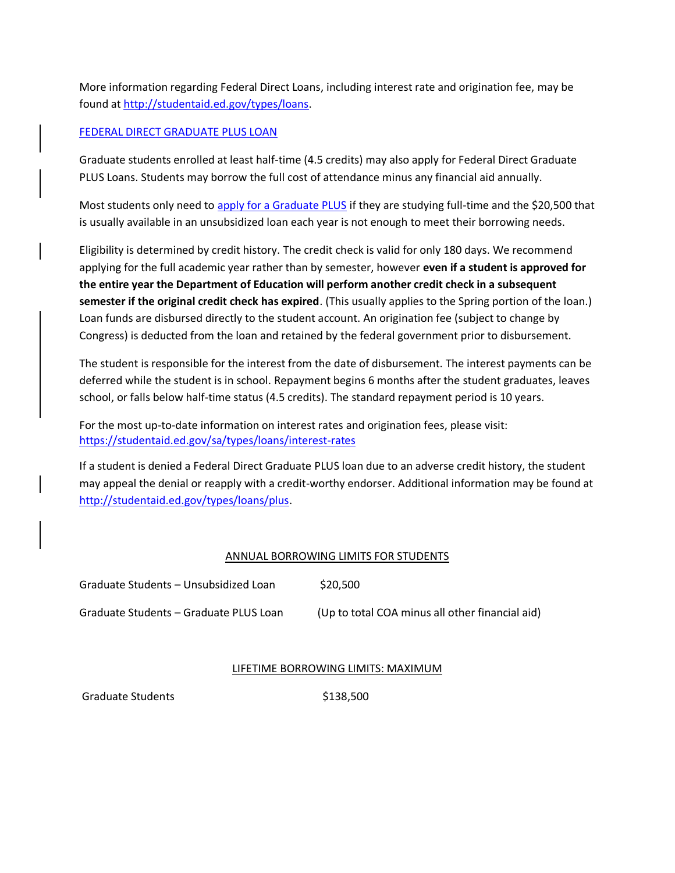More information regarding Federal Direct Loans, including interest rate and origination fee, may be found at [http://studentaid.ed.gov/types/loans.](http://studentaid.ed.gov/types/loans)

# [FEDERAL DIRECT GRADUATE PLUS LOAN](https://studentaid.ed.gov/sa/types/loans/plus)

Graduate students enrolled at least half-time (4.5 credits) may also apply for Federal Direct Graduate PLUS Loans. Students may borrow the full cost of attendance minus any financial aid annually.

Most students only need to [apply for a Graduate PLUS](https://studentaid.gov/app/launchPLUS.action?plusType=gradPlus) if they are studying full-time and the \$20,500 that is usually available in an unsubsidized loan each year is not enough to meet their borrowing needs.

Eligibility is determined by credit history. The credit check is valid for only 180 days. We recommend applying for the full academic year rather than by semester, however **even if a student is approved for the entire year the Department of Education will perform another credit check in a subsequent semester if the original credit check has expired**. (This usually applies to the Spring portion of the loan.) Loan funds are disbursed directly to the student account. An origination fee (subject to change by Congress) is deducted from the loan and retained by the federal government prior to disbursement.

The student is responsible for the interest from the date of disbursement. The interest payments can be deferred while the student is in school. Repayment begins 6 months after the student graduates, leaves school, or falls below half-time status (4.5 credits). The standard repayment period is 10 years.

For the most up-to-date information on interest rates and origination fees, please visit: <https://studentaid.ed.gov/sa/types/loans/interest-rates>

If a student is denied a Federal Direct Graduate PLUS loan due to an adverse credit history, the student may appeal the denial or reapply with a credit-worthy endorser. Additional information may be found at [http://studentaid.ed.gov/types/loans/plus.](http://studentaid.ed.gov/types/loans/plus)

# ANNUAL BORROWING LIMITS FOR STUDENTS

| Graduate Students – Unsubsidized Loan  | \$20,500                                        |
|----------------------------------------|-------------------------------------------------|
| Graduate Students – Graduate PLUS Loan | (Up to total COA minus all other financial aid) |

# LIFETIME BORROWING LIMITS: MAXIMUM

Graduate Students **\$138,500**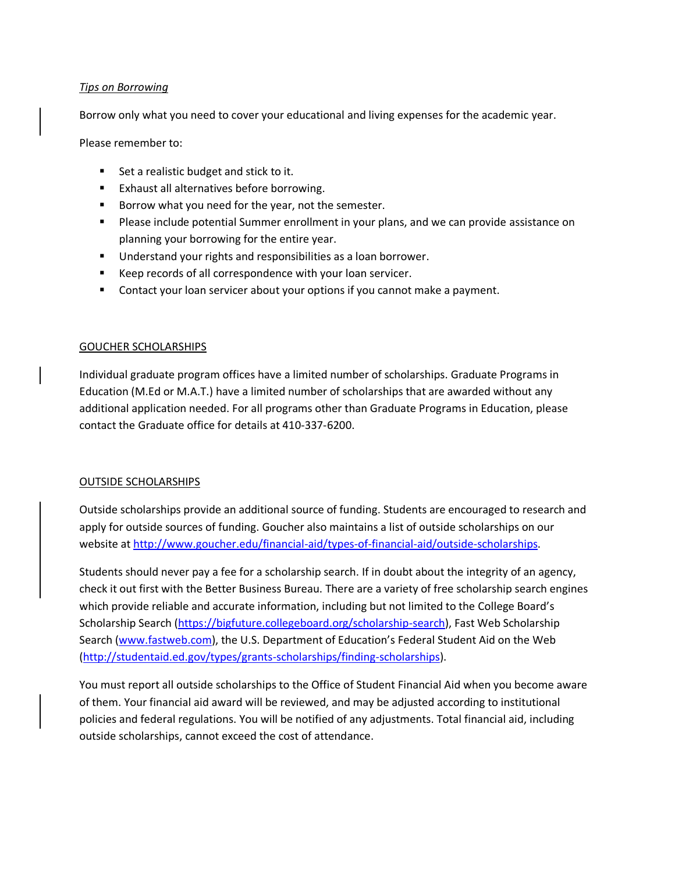#### *Tips on Borrowing*

Borrow only what you need to cover your educational and living expenses for the academic year.

Please remember to:

- Set a realistic budget and stick to it.
- Exhaust all alternatives before borrowing.
- Borrow what you need for the year, not the semester.
- Please include potential Summer enrollment in your plans, and we can provide assistance on planning your borrowing for the entire year.
- Understand your rights and responsibilities as a loan borrower.
- Keep records of all correspondence with your loan servicer.
- Contact your loan servicer about your options if you cannot make a payment.

#### GOUCHER SCHOLARSHIPS

Individual graduate program offices have a limited number of scholarships. Graduate Programs in Education (M.Ed or M.A.T.) have a limited number of scholarships that are awarded without any additional application needed. For all programs other than Graduate Programs in Education, please contact the Graduate office for details at 410-337-6200.

#### OUTSIDE SCHOLARSHIPS

Outside scholarships provide an additional source of funding. Students are encouraged to research and apply for outside sources of funding. Goucher also maintains a list of outside scholarships on our website at [http://www.goucher.edu/financial-aid/types-of-financial-aid/outside-scholarships.](http://www.goucher.edu/financial-aid/types-of-financial-aid/outside-scholarships)

Students should never pay a fee for a scholarship search. If in doubt about the integrity of an agency, check it out first with the Better Business Bureau. There are a variety of free scholarship search engines which provide reliable and accurate information, including but not limited to the College Board's Scholarship Search [\(https://bigfuture.collegeboard.org/scholarship-search\)](https://bigfuture.collegeboard.org/scholarship-search), Fast Web Scholarship Search [\(www.fastweb.com](http://www.fastweb.com/)), the U.S. Department of Education's Federal Student Aid on the Web [\(http://studentaid.ed.gov/types/grants-scholarships/finding-scholarships\)](http://studentaid.ed.gov/types/grants-scholarships/finding-scholarships).

You must report all outside scholarships to the Office of Student Financial Aid when you become aware of them. Your financial aid award will be reviewed, and may be adjusted according to institutional policies and federal regulations. You will be notified of any adjustments. Total financial aid, including outside scholarships, cannot exceed the cost of attendance.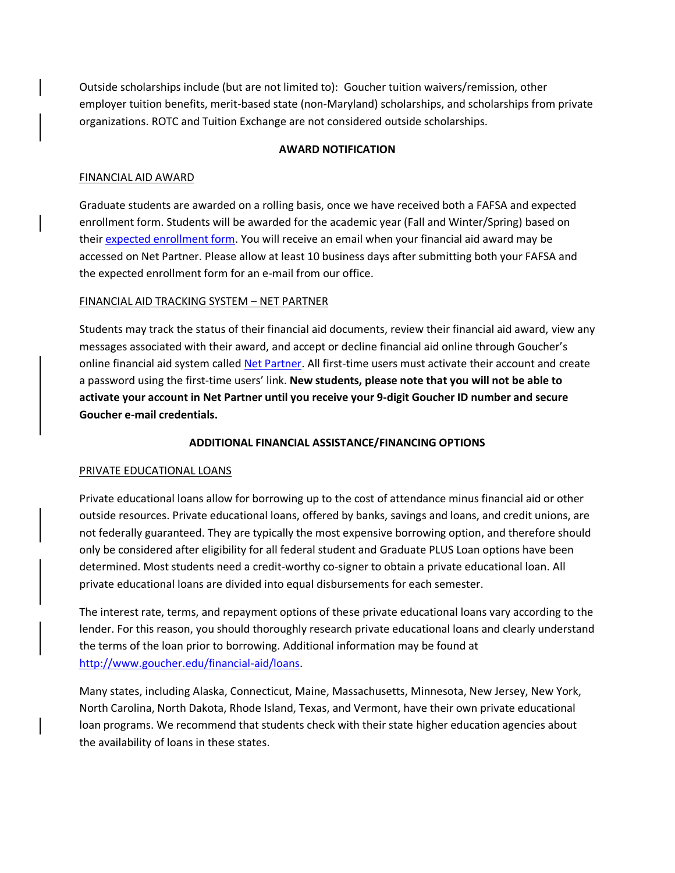Outside scholarships include (but are not limited to): Goucher tuition waivers/remission, other employer tuition benefits, merit-based state (non-Maryland) scholarships, and scholarships from private organizations. ROTC and Tuition Exchange are not considered outside scholarships.

#### **AWARD NOTIFICATION**

#### FINANCIAL AID AWARD

Graduate students are awarded on a rolling basis, once we have received both a FAFSA and expected enrollment form. Students will be awarded for the academic year (Fall and Winter/Spring) based on their [expected enrollment form.](https://www.goucher.edu/financial-aid/forms-and-resources/forms) You will receive an email when your financial aid award may be accessed on Net Partner. Please allow at least 10 business days after submitting both your FAFSA and the expected enrollment form for an e-mail from our office.

#### FINANCIAL AID TRACKING SYSTEM – NET PARTNER

Students may track the status of their financial aid documents, review their financial aid award, view any messages associated with their award, and accept or decline financial aid online through Goucher's online financial aid system calle[d Net Partner.](https://www.goucher.edu/financial-aid/net-partner/) All first-time users must activate their account and create a password using the first-time users' link. **New students, please note that you will not be able to activate your account in Net Partner until you receive your 9-digit Goucher ID number and secure Goucher e-mail credentials.**

#### **ADDITIONAL FINANCIAL ASSISTANCE/FINANCING OPTIONS**

#### PRIVATE EDUCATIONAL LOANS

Private educational loans allow for borrowing up to the cost of attendance minus financial aid or other outside resources. Private educational loans, offered by banks, savings and loans, and credit unions, are not federally guaranteed. They are typically the most expensive borrowing option, and therefore should only be considered after eligibility for all federal student and Graduate PLUS Loan options have been determined. Most students need a credit-worthy co-signer to obtain a private educational loan. All private educational loans are divided into equal disbursements for each semester.

The interest rate, terms, and repayment options of these private educational loans vary according to the lender. For this reason, you should thoroughly research private educational loans and clearly understand the terms of the loan prior to borrowing. Additional information may be found at [http://www.goucher.edu/financial-aid/loans.](http://www.goucher.edu/financial-aid/loans)

Many states, including Alaska, Connecticut, Maine, Massachusetts, Minnesota, New Jersey, New York, North Carolina, North Dakota, Rhode Island, Texas, and Vermont, have their own private educational loan programs. We recommend that students check with their state higher education agencies about the availability of loans in these states.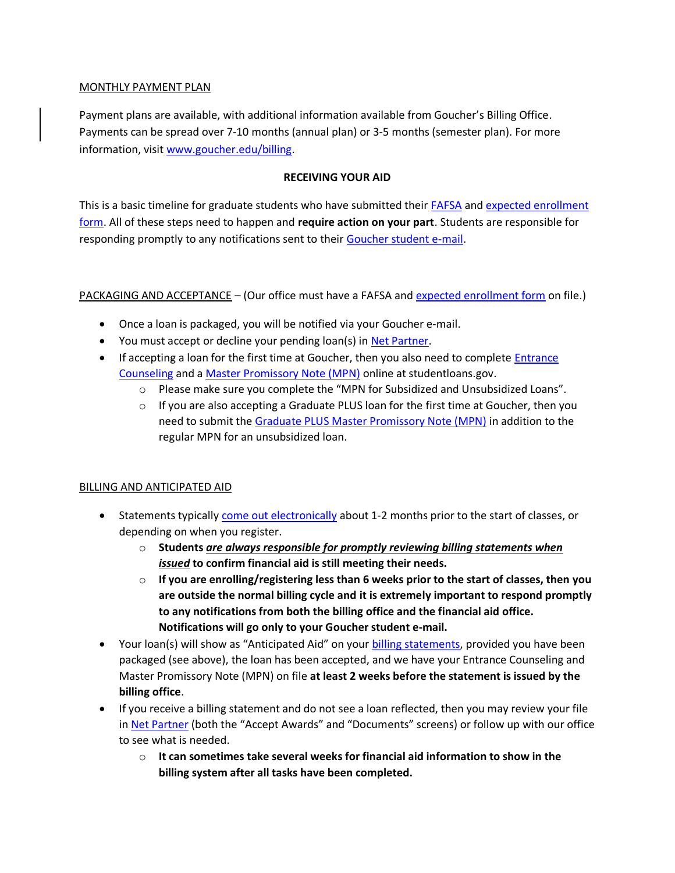### MONTHLY PAYMENT PLAN

Payment plans are available, with additional information available from Goucher's Billing Office. Payments can be spread over 7-10 months (annual plan) or 3-5 months (semester plan). For more information, visit [www.goucher.edu/billing.](http://www.goucher.edu/billing)

# **RECEIVING YOUR AID**

This is a basic timeline for graduate students who have submitted their [FAFSA](https://studentaid.gov/h/apply-for-aid/fafsa) and [expected enrollment](https://www.goucher.edu/financial-aid/forms-and-resources/forms)  [form.](https://www.goucher.edu/financial-aid/forms-and-resources/forms) All of these steps need to happen and **require action on your part**. Students are responsible for responding promptly to any notifications sent to their [Goucher student e-mail.](https://www.goucher.edu/information-technology/communications/e-mail/)

PACKAGING AND ACCEPTANCE – (Our office must have a FAFSA and [expected enrollment form](https://www.goucher.edu/financial-aid/forms-and-resources/forms) on file.)

- Once a loan is packaged, you will be notified via your Goucher e-mail.
- You must accept or decline your pending loan(s) i[n Net Partner.](https://www.goucher.edu/financial-aid/net-partner/)
- If accepting a loan for the first time at Goucher, then you also need to complete Entrance [Counseling](https://studentaid.gov/app/counselingInstructions.action?counselingType=entrance) and [a Master Promissory Note \(MPN\)](https://studentaid.gov/mpn/grad/landing) online at studentloans.gov.
	- o Please make sure you complete the "MPN for Subsidized and Unsubsidized Loans".
	- $\circ$  If you are also accepting a Graduate PLUS loan for the first time at Goucher, then you need to submit the [Graduate PLUS Master Promissory Note \(MPN\)](https://studentaid.gov/mpn/grad/landing) in addition to the regular MPN for an unsubsidized loan.

# BILLING AND ANTICIPATED AID

- Statements typically come out [electronically](https://www.goucher.edu/billing/e-billing-and-online-payments/) about 1-2 months prior to the start of classes, or depending on when you register.
	- o **Students** *are always responsible for promptly reviewing billing statements when issued* **to confirm financial aid is still meeting their needs.**
	- o **If you are enrolling/registering less than 6 weeks prior to the start of classes, then you are outside the normal billing cycle and it is extremely important to respond promptly to any notifications from both the billing office and the financial aid office. Notifications will go only to your Goucher student e-mail.**
- Your loan(s) will show as "Anticipated Aid" on your [billing statements,](https://www.goucher.edu/billing/e-billing-and-online-payments/) provided you have been packaged (see above), the loan has been accepted, and we have your Entrance Counseling and Master Promissory Note (MPN) on file **at least 2 weeks before the statement is issued by the billing office**.
- If you receive a billing statement and do not see a loan reflected, then you may review your file in [Net Partner](https://www.goucher.edu/financial-aid/net-partner/) (both the "Accept Awards" and "Documents" screens) or follow up with our office to see what is needed.
	- o **It can sometimes take several weeks for financial aid information to show in the billing system after all tasks have been completed.**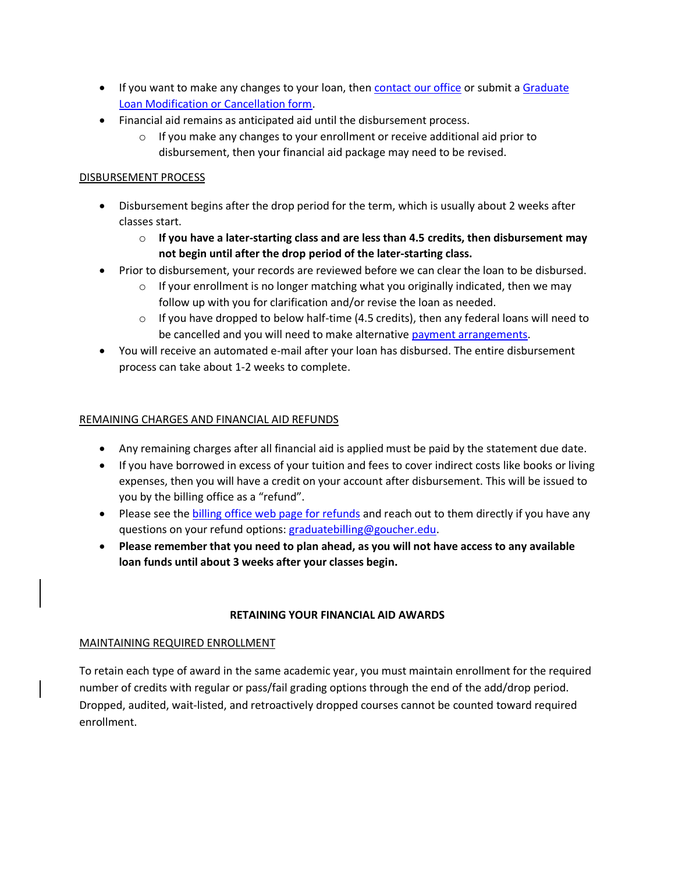- If you want to make any changes to your loan, then [contact our office](https://www.goucher.edu/financial-aid/contact-us) or submit a Graduate [Loan Modification or Cancellation form.](https://www.goucher.edu/financial-aid/forms-and-resources/forms)
- Financial aid remains as anticipated aid until the disbursement process.
	- $\circ$  If you make any changes to your enrollment or receive additional aid prior to disbursement, then your financial aid package may need to be revised.

# DISBURSEMENT PROCESS

- Disbursement begins after the drop period for the term, which is usually about 2 weeks after classes start.
	- o **If you have a later-starting class and are less than 4.5 credits, then disbursement may not begin until after the drop period of the later-starting class.**
- Prior to disbursement, your records are reviewed before we can clear the loan to be disbursed.
	- $\circ$  If your enrollment is no longer matching what you originally indicated, then we may follow up with you for clarification and/or revise the loan as needed.
	- $\circ$  If you have dropped to below half-time (4.5 credits), then any federal loans will need to be cancelled and you will need to make alternativ[e payment arrangements.](https://www.goucher.edu/billing/payment-options)
- You will receive an automated e-mail after your loan has disbursed. The entire disbursement process can take about 1-2 weeks to complete.

# REMAINING CHARGES AND FINANCIAL AID REFUNDS

- Any remaining charges after all financial aid is applied must be paid by the statement due date.
- If you have borrowed in excess of your tuition and fees to cover indirect costs like books or living expenses, then you will have a credit on your account after disbursement. This will be issued to you by the billing office as a "refund".
- Please see the **billing office web page for refunds** and reach out to them directly if you have any questions on your refund options: [graduatebilling@goucher.edu.](mailto:graduatebilling@goucher.edu)
- **Please remember that you need to plan ahead, as you will not have access to any available loan funds until about 3 weeks after your classes begin.**

#### **RETAINING YOUR FINANCIAL AID AWARDS**

#### MAINTAINING REQUIRED ENROLLMENT

To retain each type of award in the same academic year, you must maintain enrollment for the required number of credits with regular or pass/fail grading options through the end of the add/drop period. Dropped, audited, wait-listed, and retroactively dropped courses cannot be counted toward required enrollment.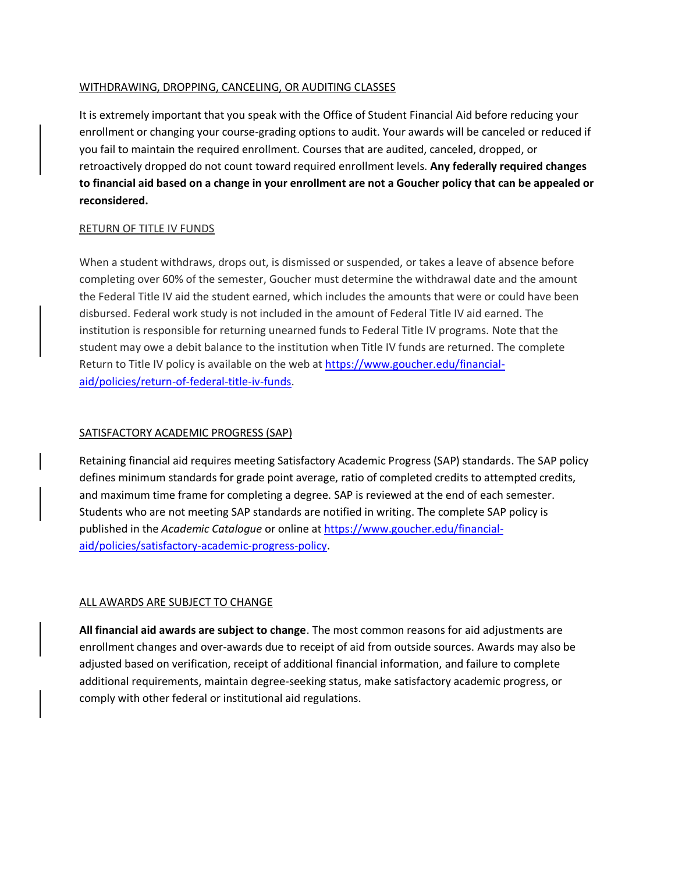#### WITHDRAWING, DROPPING, CANCELING, OR AUDITING CLASSES

It is extremely important that you speak with the Office of Student Financial Aid before reducing your enrollment or changing your course-grading options to audit. Your awards will be canceled or reduced if you fail to maintain the required enrollment. Courses that are audited, canceled, dropped, or retroactively dropped do not count toward required enrollment levels. **Any federally required changes to financial aid based on a change in your enrollment are not a Goucher policy that can be appealed or reconsidered.**

#### RETURN OF TITLE IV FUNDS

When a student withdraws, drops out, is dismissed or suspended, or takes a leave of absence before completing over 60% of the semester, Goucher must determine the withdrawal date and the amount the Federal Title IV aid the student earned, which includes the amounts that were or could have been disbursed. Federal work study is not included in the amount of Federal Title IV aid earned. The institution is responsible for returning unearned funds to Federal Title IV programs. Note that the student may owe a debit balance to the institution when Title IV funds are returned. The complete Return to Title IV policy is available on the web at [https://www.goucher.edu/financial](https://www.goucher.edu/financial-aid/policies/return-of-federal-title-iv-funds)[aid/policies/return-of-federal-title-iv-funds.](https://www.goucher.edu/financial-aid/policies/return-of-federal-title-iv-funds)

### SATISFACTORY ACADEMIC PROGRESS (SAP)

Retaining financial aid requires meeting Satisfactory Academic Progress (SAP) standards. The SAP policy defines minimum standards for grade point average, ratio of completed credits to attempted credits, and maximum time frame for completing a degree. SAP is reviewed at the end of each semester. Students who are not meeting SAP standards are notified in writing. The complete SAP policy is published in the *Academic Catalogue* or online at [https://www.goucher.edu/financial](https://www.goucher.edu/financial-aid/policies/satisfactory-academic-progress-policy)[aid/policies/satisfactory-academic-progress-policy.](https://www.goucher.edu/financial-aid/policies/satisfactory-academic-progress-policy)

#### ALL AWARDS ARE SUBJECT TO CHANGE

**All financial aid awards are subject to change**. The most common reasons for aid adjustments are enrollment changes and over-awards due to receipt of aid from outside sources. Awards may also be adjusted based on verification, receipt of additional financial information, and failure to complete additional requirements, maintain degree-seeking status, make satisfactory academic progress, or comply with other federal or institutional aid regulations.